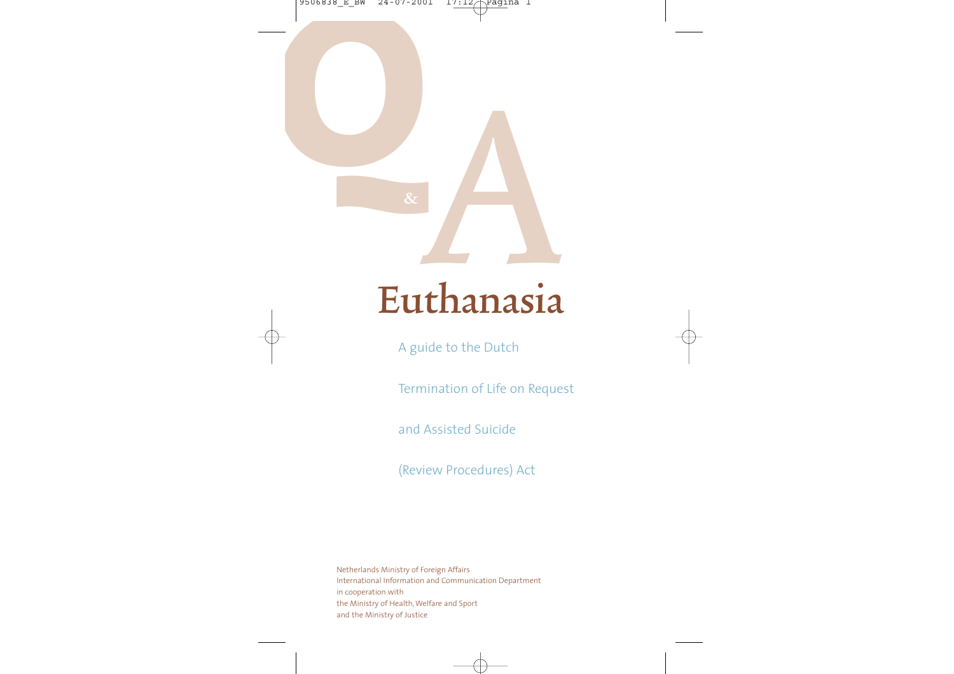

## A guide to the Dutch

<sup>A</sup>**Q**&

Termination of Life on Request

and Assisted Suicide

(Review Procedures) Act

Netherlands Ministry of Foreign Affairs International Information and Communication Department in cooperation with the Ministry of Health, Welfare and Sport and the Ministry of Justice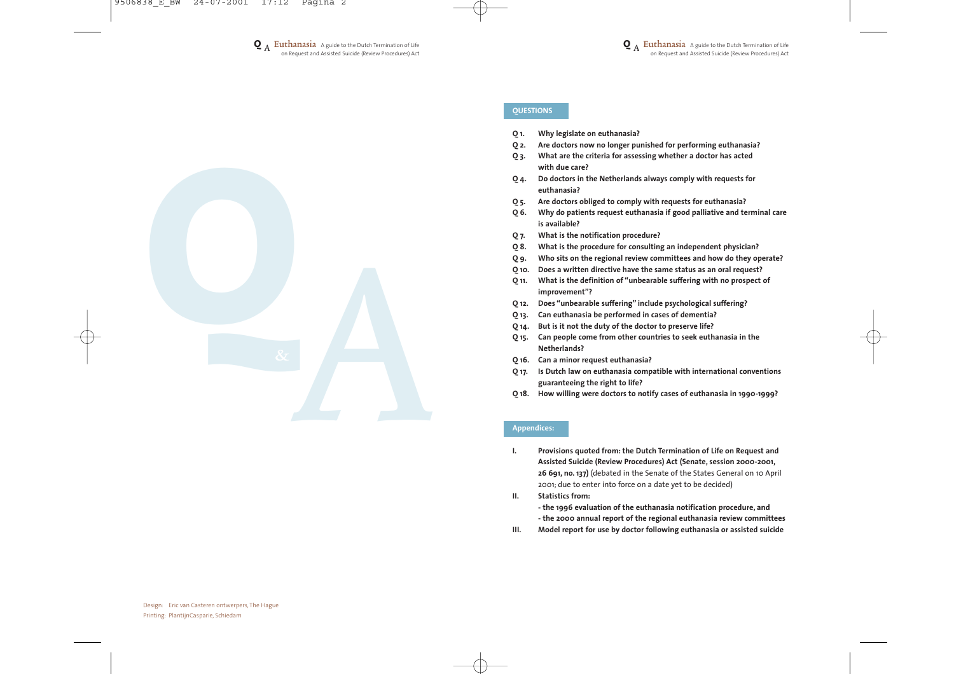<sup>A</sup>**Q**&

### **QUESTIONS**

- **Q 1. Why legislate on euthanasia?**
- **Q 2. Are doctors now no longer punished for performing euthanasia?**
- **Q 3. What are the criteria for assessing whether a doctor has acted with due care?**
- **Q 4. Do doctors in the Netherlands always comply with requests for euthanasia?**
- **Q 5. Are doctors obliged to comply with requests for euthanasia?**
- **Q 6. Why do patients request euthanasia if good palliative and terminal care is available?**
- **Q 7. What is the notification procedure?**
- **Q 8. What is the procedure for consulting an independent physician?**
- **Q 9. Who sits on the regional review committees and how do they operate?**
- **Q 10. Does a written directive have the same status as an oral request?**
- **Q 11. What is the definition of "unbearable suffering with no prospect of improvement"?**
- **Q 12. Does "unbearable suffering" include psychological suffering?**
- **Q 13. Can euthanasia be performed in cases of dementia?**
- **Q 14. But is it not the duty of the doctor to preserve life?**
- **Q 15. Can people come from other countries to seek euthanasia in the Netherlands?**
- **Q 16. Can a minor request euthanasia?**
- **Q 17. Is Dutch law on euthanasia compatible with international conventions guaranteeing the right to life?**
- **Q 18. How willing were doctors to notify cases of euthanasia in 1990-1999?**

### **Appendices:**

- **I. Provisions quoted from: the Dutch Termination of Life on Request and Assisted Suicide (Review Procedures) Act (Senate, session 2000-2001, 26 691, no. 137)** (debated in the Senate of the States General on 10 April 2001; due to enter into force on a date yet to be decided)
- **II. Statistics from:**
	- **the 1996 evaluation of the euthanasia notification procedure, and - the 2000 annual report of the regional euthanasia review committees**
- 
- **III. Model report for use by doctor following euthanasia or assisted suicide**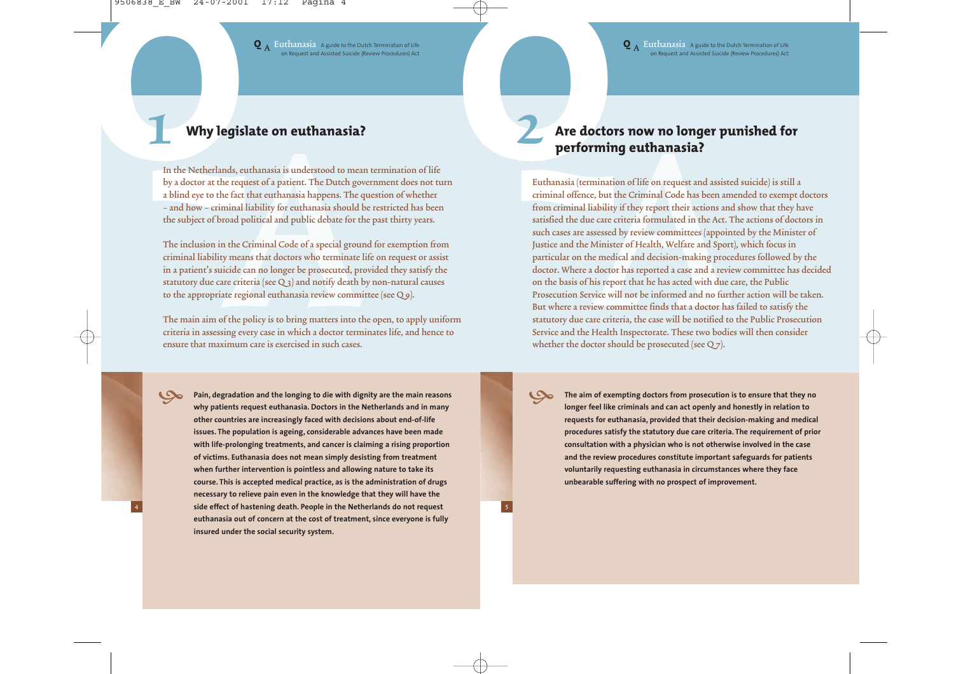1

4

nds, euthanasia is understood to mea<br>he request of a patient. The Dutch governed that euthanasia happens. The c<br>minal liability for euthanasia should l<br>road political and public debate for tl<br>n the Criminal Code of a speci Q A Euthanasia Aguide to the Dutch Termination of Life<br>
on Request and Assisted Suicide (Review Procedures) Act<br> **Why legislate on euthanasia?**<br>
In the Netherlands, cuthanasia is understood to mean termination of life<br>
by the subject of broad political and public debate for the past thirty years.

The inclusion in the Criminal Code of a special ground for exemption from criminal liability means that doctors who terminate life on request or assist in a patient's suicide can no longer be prosecuted, provided they satisfy the statutory due care criteria (see  $Q_3$ ) and notify death by non-natural causes to the appropriate regional euthanasia review committee (see Q 9).

The main aim of the policy is to bring matters into the open, to apply uniform criteria in assessing every case in which a doctor terminates life, and hence to ensure that maximum care is exercised in such cases.

**Pain, degradation and the longing to die with dignity are the main reasons why patients request euthanasia. Doctors in the Netherlands and in many other countries are increasingly faced with decisions about end-of-life issues. The population is ageing, considerable advances have been made with life-prolonging treatments, and cancer is claiming a rising proportion of victims. Euthanasia does not mean simply desisting from treatment when further intervention is pointless and allowing nature to take its course. This is accepted medical practice, as is the administration of drugs necessary to relieve pain even in the knowledge that they will have the side effect of hastening death. People in the Netherlands do not reques<sup>t</sup> euthanasia out of concern at the cost of treatment, since everyone is fully insured under the social security system.**

**Are doctors now no longer punished for performing euthanasia?**

2

5

mination of life on request and assiste<br>
e, but the Criminal Code has been an<br>
iability if they report their actions and<br>
e care criteria formulated in the Act. T<br>
ssessed by review committees (appoin<br>
Minister of Health, **Salta de Salta de la performit de la performit de la performit de la performit de la performit de la performit de la performit de la performancière de la performancière de la performancière de la performancière de la perf** Euthanasia (termination of life on request and assisted suicide) is still a criminal offence, but the Criminal Code has been amended to exempt doctors from criminal liability if they report their actions and show that they have satisfied the due care criteria formulated in the Act. The actions of doctors in such cases are assessed by review committees (appointed by the Minister of Justice and the Minister of Health, Welfare and Sport), which focus in particular on the medical and decision-making procedures followed by the doctor. Where a doctor has reported a case and a review committee has decided on the basis of his report that he has acted with due care, the Public Prosecution Service will not be informed and no further action will be taken. But where a review committee finds that a doctor has failed to satisfy the statutory due care criteria, the case will be notified to the Public Prosecution Service and the Health Inspectorate. These two bodies will then consider whether the doctor should be prosecuted (see Q 7).

> **The aim of exempting doctors from prosecution is to ensure that they no longer feel like criminals and can act openly and honestly in relation to requests for euthanasia, provided that their decision-making and medical procedures satisfy the statutory due care criteria. The requirement of prior consultation with a physician who is not otherwise involved in the case and the review procedures constitute important safeguards for patients voluntarily requesting euthanasia in circumstances where they face unbearable suffering with no prospect of improvement.**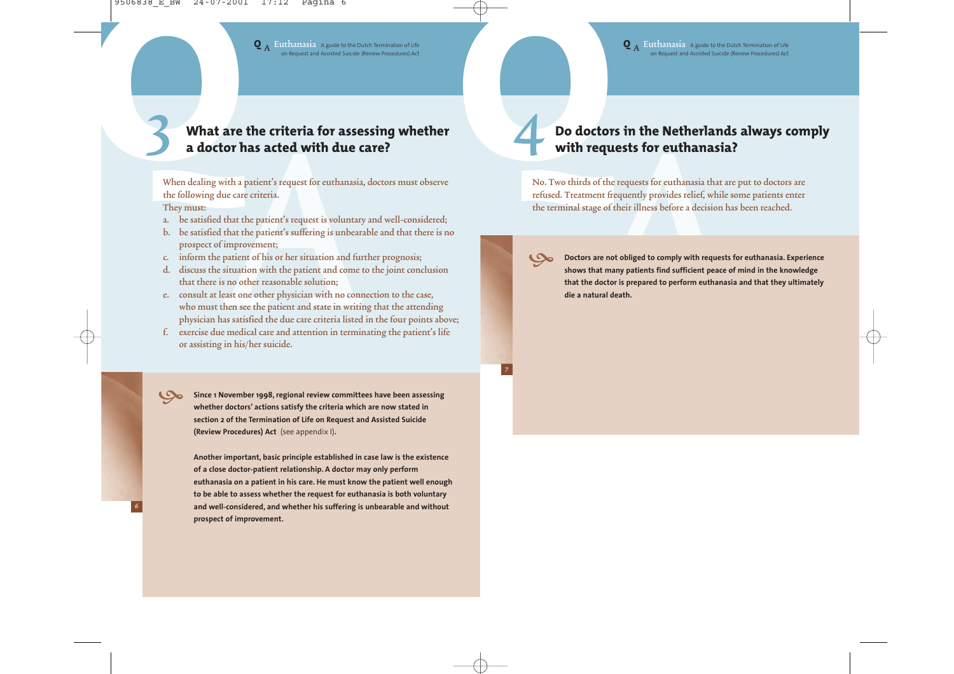# <sup>A</sup>**<sup>Q</sup>** <sup>A</sup>**QWhat are the criteria for assessing whether a doctor has acted with due care?** When dealing with a patient's request for euthanasia, doctors must observe the following due care criteria. They must: a. be satisfied that the patient's request is voluntary and well-considered; b. be satisfied that the patient's suffering is unbearable and that there is no prospect of improvement; c. inform the patient of his or her situation and further prognosis; d. discuss the situation with the patient and come to the joint conclusion that there is no other reasonable solution; e. consult at least one other physician with no connection to the case, who must then see the patient and state in writing that the attending

3

6

- 
- 
- 
- 
- physician has satisfied the due care criteria listed in the four points above;
- f. exercise due medical care and attention in terminating the patient's life or assisting in his/her suicide.

**Since 1 November 1998, regional review committees have been assessing whether doctors' actions satisfy the criteria which are now stated in section 2 of the Termination of Life on Request and Assisted Suicide (Review Procedures) Act** (see appendix I)**.**

**Another important, basic principle established in case law is the existence of a close doctor-patient relationship. A doctor may only perform euthanasia on a patient in his care. He must know the patient well enough to be able to assess whether the request for euthanasia is both voluntary and well-considered, and whether his suffering is unbearable and without prospect of improvement.**

**Q** A Euthanasia A guide to the Dutch Termination of Life<br>on Request and Assisted Suicide (Review Procedures) Act

### **Do doctors in the Netherlands always comply with requests for euthanasia?** 4

No. Two thirds of the requests for euthanasia that are put to doctors are refused. Treatment frequently provides relief, while some patients enter the terminal stage of their illness before a decision has been reached.

7

**Doctors are not obliged to comply with requests for euthanasia. Experience shows that many patients find sufficient peace of mind in the knowledge that the doctor is prepared to perform euthanasia and that they ultimately die a natural death.**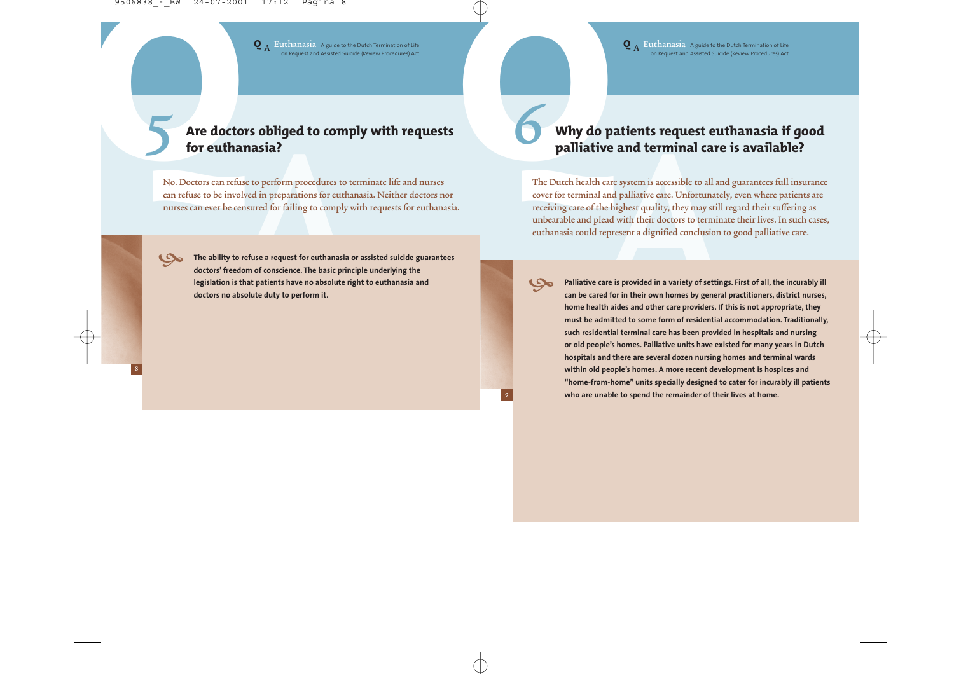**Q** A Euthanasia A guide to the Duth Termination of Life<br>on Request and Assisted Suicide (Review Procedures) Act<br>**Are doctors obliged to comply with requests**<br>for euthanasia?<br>No. Doctors can refuse to perform procedures to

# **Why do patients request euthanasia if good palliative and terminal care is available?**  6

It h care system is accessible to all and<br>
hal and palliative care. Unfortunately,<br>
f the highest quality, they may still re<br>
lelead with their doctors to terminate<br>
Id represent a dignified conclusion to<br>
the care is prov **Canadian School System School School School School School School School School School School School School School School School School School School School School School School School School School School School School Sc** The Dutch health care system is accessible to all and guarantees full insurance cover for terminal and palliative care. Unfortunately, even where patients are receiving care of the highest quality, they may still regard their suffering as unbearable and plead with their doctors to terminate their lives. In such cases, euthanasia could represent a dignified conclusion to good palliative care.

5

The refuse to perform procedures to term<br>
involved in preparations for euthana<br>
be censured for failing to comply with<br>
ity to refuse a request for euthanasia or a<br>
freedom of conscience. The basic principl<br>
on is that pat **The ability to refuse a request for euthanasia or assisted suicide guarantees doctors' freedom of conscience. The basic principle underlying the legislation is that patients have no absolute right to euthanasia and doctors no absolute duty to perform it.**

**Palliative care is provided in a variety of settings. First of all, the incurably ill can be cared for in their own homes by general practitioners, district nurses, home health aides and other care providers. If this is not appropriate, they must be admitted to some form of residential accommodation. Traditionally, such residential terminal care has been provided in hospitals and nursing or old people's homes. Palliative units have existed for many years in Dutch hospitals and there are several dozen nursing homes and terminal wards within old people's homes. A more recent development is hospices and "home-from-home" units specially designed to cater for incurably ill patients** <sup>9</sup> **who are unable to spend the remainder of their lives at home.**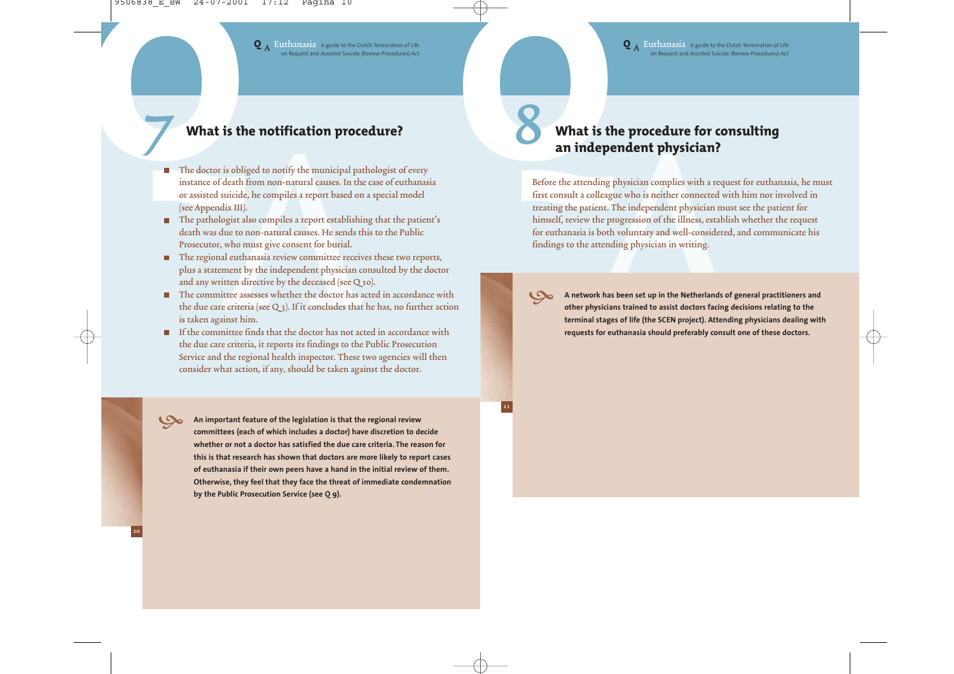- is obliged to notify the municipal pay<br>death from non-natural causes. In the<br>suicide, he compiles a report based on<br>dix III).<br>ogist also compiles a report establishi<br>lue to non-natural causes. He sends t<br>who must give con Q A Euthanasia A guide to the Dutch Termination of Life<br>
on Request and Assisted Suicide (Review Procedures) Act<br>
on Request and Assisted Suicide (Review Procedures)<br>
∴<br>
The doctor is obliged to notify the municipal patho
	- The pathologist also compiles a report establishing that the patient's death was due to non-natural causes. He sends this to the Public Prosecutor, who must give consent for burial.
	- The regional euthanasia review committee receives these two reports, plus a statement by the independent physician consulted by the doctor and any written directive by the deceased (see Q 10).
	- The committee assesses whether the doctor has acted in accordance with the due care criteria (see Q 3). If it concludes that he has, no further action is taken against him.
	- п If the committee finds that the doctor has not acted in accordance with the due care criteria, it reports its findings to the Public Prosecution Service and the regional health inspector. These two agencies will then consider what action, if any, should be taken against the doctor.



10

7

**An important feature of the legislation is that the regional review committees (each of which includes a doctor) have discretion to decide whether or not a doctor has satisfied the due care criteria. The reason for this is that research has shown that doctors are more likely to report cases of euthanasia if their own peers have a hand in the initial review of them. Otherwise, they feel that they face the threat of immediate condemnation by the Public Prosecution Service (see Q 9).**

# **What is the procedure for consulting an independent physician?**

Many physician complies with a requeolleague who is neither connected with<br>tient. The independent physician must<br>the progression of the illness, establis<br>is both voluntary and well-considered<br>attending physician in writing What is the anti-<br> **C**<br>
Before the attending<br>
Experience the attending<br>
first consult a colleage<br>
treating the patient. 7 Before the attending physician complies with a request for euthanasia, he must first consult a colleague who is neither connected with him nor involved in treating the patient. The independent physician must see the patient for himself, review the progression of the illness, establish whether the request for euthanasia is both voluntary and well-considered, and communicate his findings to the attending physician in writing.

8

**A network has been set up in the Netherlands of general practitioners and other physicians trained to assist doctors facing decisions relating to the terminal stages of life (the SCEN project). Attending physicians dealing with requests for euthanasia should preferably consult one of these doctors.**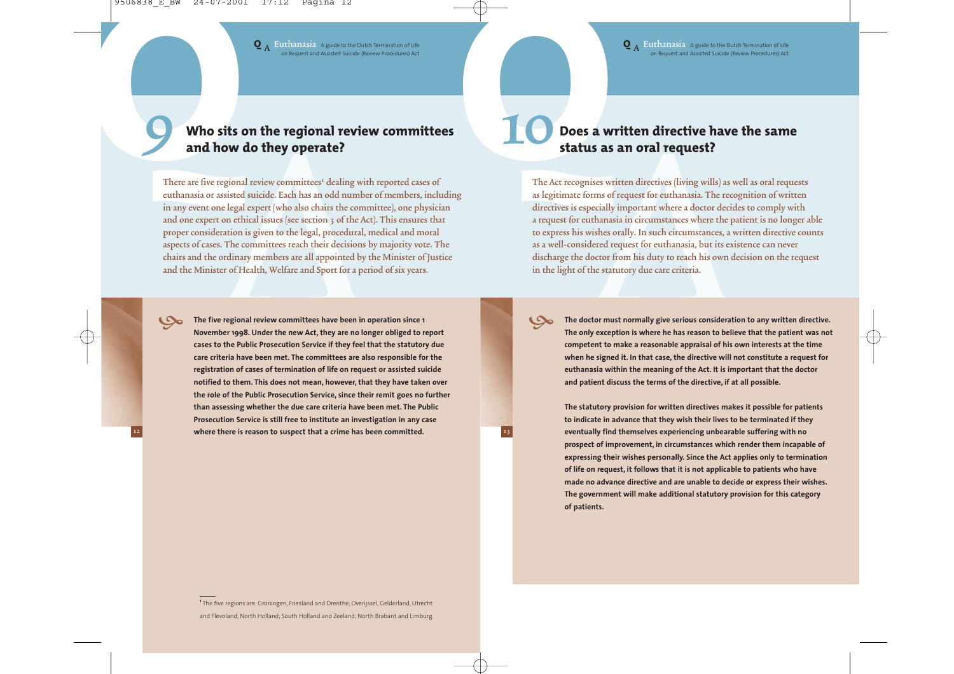**Example 18 and 18 and 18 and 18 and 18 and 18 and 18 and 18 and 18 and 18 and 18 and 18 and 18 and 18 and 18 and 18 and 18 and 18 and 18 and 18 and 18 and 18 and 18 and 18 and 18 and 18 and 18 and 18 and 18 and 18 and 18** 

# **Does a written directive have the same status as an oral request?**

**Q** A Euthanasia A guide to the Dutch Termination of Life on Request and Assisted Suicide (Review Procedures) Act

ises written directives (living wills) as<br>
rms of request for euthanasia. The rec<br>
ecially important where a doctor deci<br>
thanasia in circumstances where the p<br>
ishes orally. In such circumstances, a<br>
lered request for eut The Act recognises written directives (living wills) as well as oral requests as legitimate forms of request for euthanasia. The recognition of written directives is especially important where a doctor decides to comply with a request for euthanasia in circumstances where the patient is no longer able to express his wishes orally. In such circumstances, a written directive counts as a well-considered request for euthanasia, but its existence can never discharge the doctor from his duty to reach his own decision on the request in the light of the statutory due care criteria.

**The five regional review committees have been in operation since 1 November 1998. Under the new Act, they are no longer obliged to report cases to the Public Prosecution Service if they feel that the statutory due care criteria have been met. The committees are also responsible for the registration of cases of termination of life on request or assisted suicide notified to them. This does not mean, however, that they have taken over the role of the Public Prosecution Service, since their remit goes no further than assessing whether the due care criteria have been met. The Public Prosecution Service is still free to institute an investigation in any case** <sup>12</sup> **where there is reason to suspect that a crime has been committed.**

**The doctor must normally give serious consideration to any written directive.**  $\infty$ **The only exception is where he has reason to believe that the patient was not competent to make a reasonable appraisal of his own interests at the time when he signed it. In that case, the directive will not constitute a request for euthanasia within the meaning of the Act. It is important that the doctor and patient discuss the terms of the directive, if at all possible.**

> **The statutory provision for written directives makes it possible for patients to indicate in advance that they wish their lives to be terminated if they eventually find themselves experiencing unbearable suffering with no prospect of improvement, in circumstances which render them incapable of expressing their wishes personally. Since the Act applies only to termination of life on request, it follows that it is not applicable to patients who have made no advance directive and are unable to decide or express their wishes. The government will make additional statutory provision for this category of patients.**

13

and Flevoland; North Holland; South Holland and Zeeland; North Brabant and Limburg.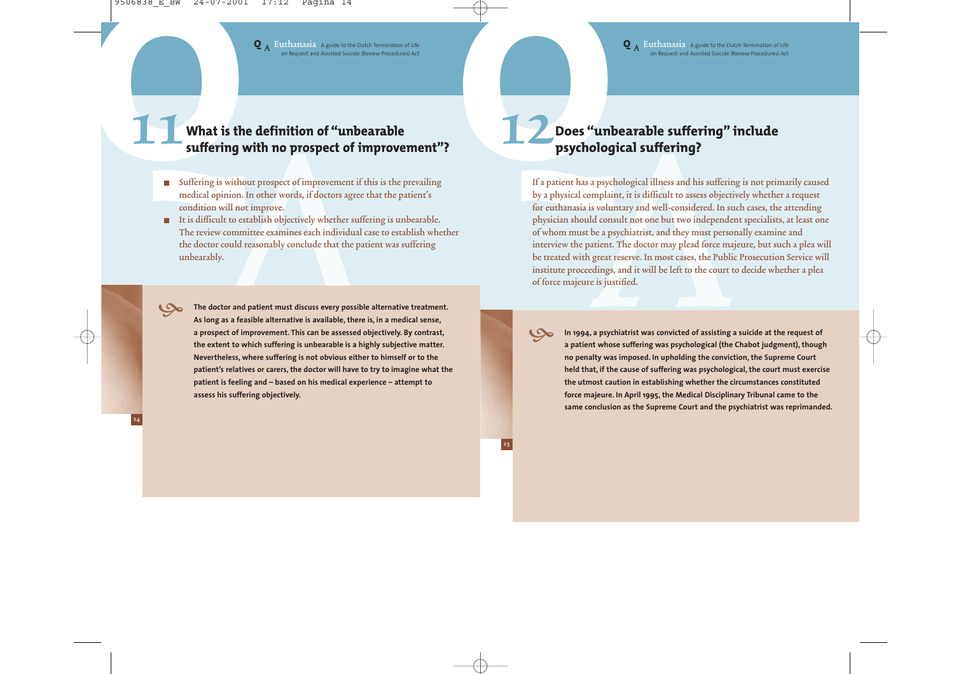### 11 **What is the definition of "unbearable Fig. 2** Does "unbearable suffering" include suffering" include suffering with no prospect of improvement"?

- **Q** A Euthanasia Aguide to the Dutch Termination of Life on Request and Assisted Suicide (Review Procedures) Act on Request **of improvement if the sum of the sum of the patient's** and **suffering** is without prospect of imp
	- without prospect of improvement if<br>inion. In other words, if doctors agree<br>will not improve.<br>It to establish objectively whether suf<br>committee examines each individual<br>could reasonably conclude that the pa<br>is and action mu It is difficult to establish objectively whether suffering is unbearable. П The review committee examines each individual case to establish whether the doctor could reasonably conclude that the patient was suffering unbearably.

14

**The doctor and patient must discuss every possible alternative treatment. As long as a feasible alternative is available, there is, in a medical sense, a prospect of improvement. This can be assessed objectively. By contrast, the extent to which suffering is unbearable is a highly subjective matter. Nevertheless, where suffering is not obvious either to himself or to the patient's relatives or carers, the doctor will have to try to imagine what the patient is feeling and – based on his medical experience – attempt to assess his suffering objectively.**

a psychological illness and his suffering<br>mplaint, it is difficult to assess object<br>is voluntary and well-considered. In st<br>ld consult not one but two independe<br>be a psychiatrist, and they must perso<br>atient. The doctor may **Does "unl<br>
psycholog**<br>
If a patient has a psycholog<br>
Lif a patient has a psycholog<br>
for euthanasia is volu If a patient has a psychological illness and his suffering is not primarily caused by a physical complaint, it is difficult to assess objectively whether a request for euthanasia is voluntary and well-considered. In such cases, the attending physician should consult not one but two independent specialists, at least one of whom must be a psychiatrist, and they must personally examine and interview the patient. The doctor may plead force majeure, but such a plea will be treated with great reserve. In most cases, the Public Prosecution Service will institute proceedings, and it will be left to the court to decide whether a plea of force majeure is justified.

> **In 1994, a psychiatrist was convicted of assisting a suicide at the request of a patient whose suffering was psychological (the Chabot judgment), though no penalty was imposed. In upholding the conviction, the Supreme Court held that, if the cause of suffering was psychological, the court must exercise the utmost caution in establishing whether the circumstances constituted force majeure. In April 1995, the Medical Disciplinary Tribunal came to the same conclusion as the Supreme Court and the psychiatrist was reprimanded.**

15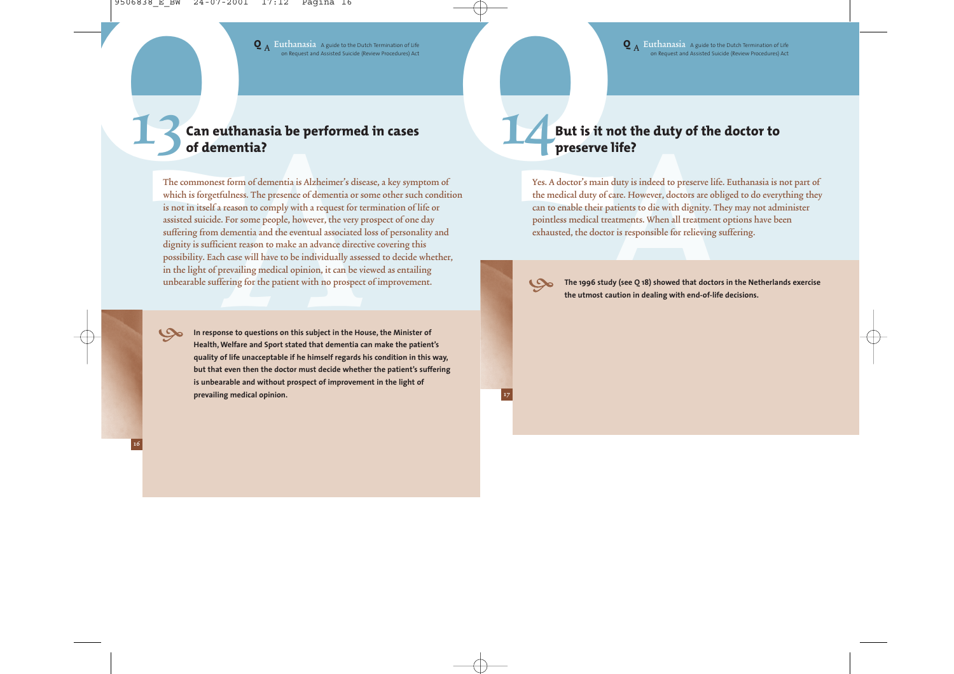# 13 **Can euthanasia be performed in cases**

t form of dementia is Alzheimer's distinues.<br>
fulness. The presence of dementia or s<br>
reason to comply with a request for t<br>
For some people, however, the very p<br>
dementia and the eventual associated<br>
eint reason to make a Q A Euthanasia Aguide to the Dutch Termination of Life<br>
on Request and Assisted Suicide (Review Procedures) Act<br> **Can euthanasia be performed in cases**<br>
of **dementia?**<br>
The commonest form of dementia is Alzheimer's disease assisted suicide. For some people, however, the very prospect of one day suffering from dementia and the eventual associated loss of personality and dignity is sufficient reason to make an advance directive covering this possibility. Each case will have to be individually assessed to decide whether, in the light of prevailing medical opinion, it can be viewed as entailing unbearable suffering for the patient with no prospect of improvement.

16

**In response to questions on this subject in the House, the Minister of Health, Welfare and Sport stated that dementia can make the patient's quality of life unacceptable if he himself regards his condition in this way, but that even then the doctor must decide whether the patient's suffering is unbearable and without prospect of improvement in the light of prevailing medical opinion.**

# **of dementia?** 14**But is it not the duty of the doctor to preserve life? The dementia?**

main duty is indeed to preserve life. E<br>ty of care. However, doctors are oblige<br>neir patients to die with dignity. They<br>cal treatments. When all treatment op<br>doctor is responsible for relieving suff<br>6 study (see Q 18) show **But is it n**<br>**Part is it n**<br>**Preserve l**<br>Yes. A doctor's main c<br>the medical duty of can to enable their pa Yes. A doctor's main duty is indeed to preserve life. Euthanasia is not part of the medical duty of care. However, doctors are obliged to do everything they can to enable their patients to die with dignity. They may not administer pointless medical treatments. When all treatment options have been exhausted, the doctor is responsible for relieving suffering.

**Q** A Euthanasia A guide to the Dutch Termination of Life<br>on Request and Assisted Suicide (Review Procedures) Act

**The 1996 study (see Q 18) showed that doctors in the Netherlands exercise the utmost caution in dealing with end-of-life decisions.**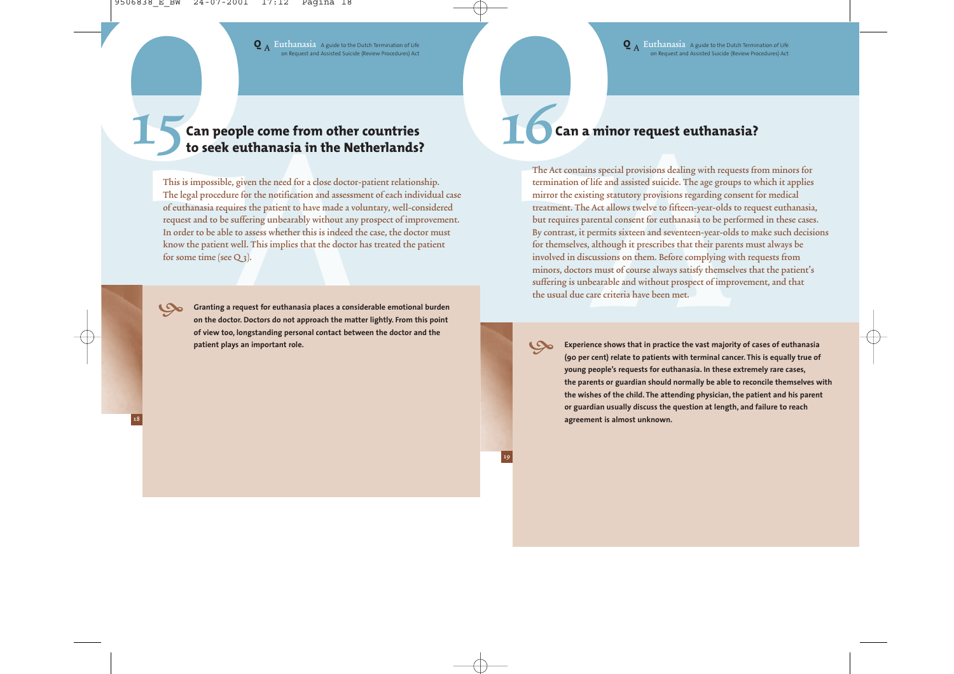# 15 **Can people come from other countries the set of the set of the set of the set of the Netherlands?<br>The seek euthanasia in the Netherlands?**

ble, given the need for a close doctor-<br>dure for the notification and assessme<br>equires the patient to have made a volbe suffering unbearably without any p<br>ble to assess whether this is indeed th<br>nt well. This implies that **Q** A Euthanasia Aguide to the Dutch Termination of Life<br>
on Request and Assisted Suicide (Review Procedures) Act<br> **Can people come from other countries**<br> **Can people come from other countries**<br>
This is impossible, given t request and to be suffering unbearably without any prospect of improvement. In order to be able to assess whether this is indeed the case, the doctor must know the patient well. This implies that the doctor has treated the patient for some time (see Q 3).

**Granting a request for euthanasia places a considerable emotional burden on the doctor. Doctors do not approach the matter lightly. From this point of view too, longstanding personal contact between the doctor and the patient plays an important role.**

18

not special provisions dealing with required<br>life and assisted suicide. The age grousing statutory provisions regarding co<br>Act allows twelve to fifteen-year-olds<br>rental consent for euthanasia to be pe<br>bermits sixteen and s **Can a mir**<br>
The Act contains spec<br>
termination of life an<br>
mirror the existing st<br>
treatment. The Act all The Act contains special provisions dealing with requests from minors for termination of life and assisted suicide. The age groups to which it applies mirror the existing statutory provisions regarding consent for medical treatment. The Act allows twelve to fifteen-year-olds to request euthanasia, but requires parental consent for euthanasia to be performed in these cases. By contrast, it permits sixteen and seventeen-year-olds to make such decisions for themselves, although it prescribes that their parents must always be involved in discussions on them. Before complying with requests from minors, doctors must of course always satisfy themselves that the patient's suffering is unbearable and without prospect of improvement, and that the usual due care criteria have been met.

**Q** A Euthanasia A guide to the Dutch Termination of Life<br>on Request and Assisted Suicide (Review Procedures) Act

**Experience shows that in practice the vast majority of cases of euthanasia (90 per cent) relate to patients with terminal cancer. This is equally true of young people's requests for euthanasia. In these extremely rare cases, the parents or guardian should normally be able to reconcile themselves with the wishes of the child. The attending physician, the patient and his parent or guardian usually discuss the question at length, and failure to reach agreement is almost unknown.**

19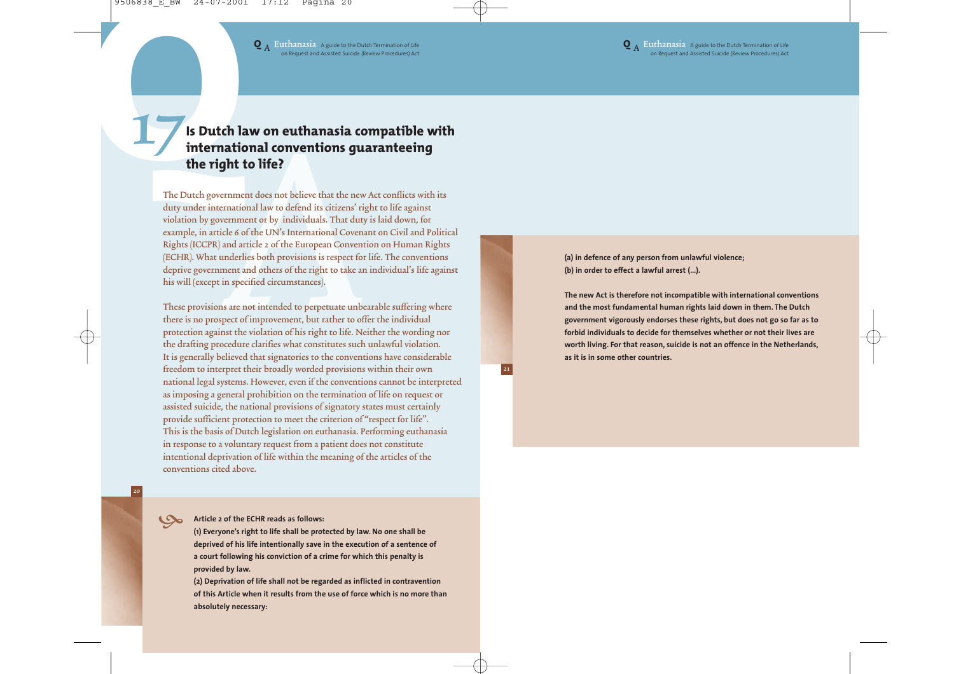# **Q** A Euthanasia *A guide to the Dutch Termination of Life*<br>
on Request and Assisted Suicide (Review Procedures) Act<br> **IS Dutch law on euthanasia compatible with its duty under international law to defend its citizens' rig** 17 **Is Dutch law on euthanasia compatible with international conventions guaranteeing the right to life?**

**ght to life?**<br>
ernment does not believe that the nevernational law to defend its citizens' rivernment or by individuals. That dutide 6 of the UN's International Coven<br>
and article 2 of the European Convent<br>
underlies both violation by government or by individuals. That duty is laid down, for example, in article 6 of the UN's International Covenant on Civil and Political Rights (ICCPR) and article 2 of the European Convention on Human Rights (ECHR). What underlies both provisions is respect for life. The conventions deprive government and others of the right to take an individual's life against his will (except in specified circumstances).

These provisions are not intended to perpetuate unbearable suffering where there is no prospect of improvement, but rather to offer the individual protection against the violation of his right to life. Neither the wording nor the drafting procedure clarifies what constitutes such unlawful violation. It is generally believed that signatories to the conventions have considerable freedom to interpret their broadly worded provisions within their own national legal systems. However, even if the conventions cannot be interpreted as imposing a general prohibition on the termination of life on request or assisted suicide, the national provisions of signatory states must certainly provide sufficient protection to meet the criterion of "respect for life". This is the basis of Dutch legislation on euthanasia. Performing euthanasia in response to a voluntary request from a patient does not constitute intentional deprivation of life within the meaning of the articles of the conventions cited above.

**(a) in defence of any person from unlawful violence; (b) in order to effect a lawful arrest (…).**

**The new Act is therefore not incompatible with international conventions and the most fundamental human rights laid down in them. The Dutch governmen<sup>t</sup> vigorously endorses these rights, but does not go so far as to forbid individuals to decide for themselves whether or not their lives are worth living. For that reason, suicide is not an offence in the Netherlands, as it is in some other countries.**

**Q** A Euthanasia A guide to the Dutch Termination of Life<br>on Request and Assisted Suicide (Review Procedures) Act

**Article 2 of the ECHR reads as follows:**

**(1) Everyone's right to life shall be protected by law. No one shall be deprived of his life intentionally save in the execution of a sentence of a court following his conviction of a crime for which this penalty is provided by law.**

**(2) Deprivation of life shall not be regarded as inflicted in contravention of this Article when it results from the use of force which is no more than absolutely necessary:**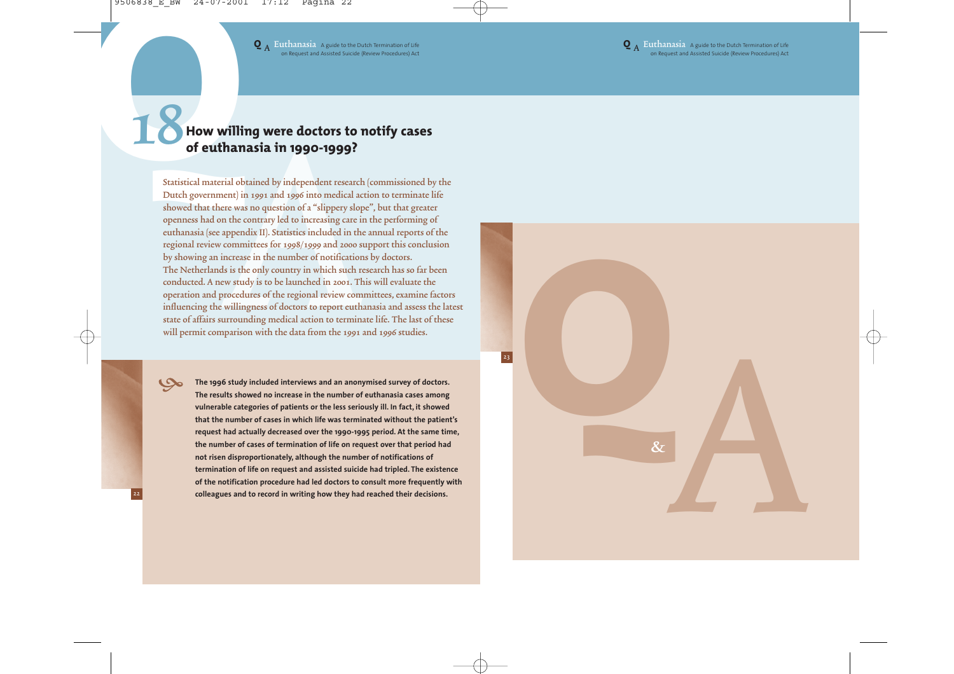

# 18**How willing were doctors to notify cases of euthanasia in 1990-1999?**

**2** A Euthanasia Aguide to the Dutch Termination of Life<br>on Requestand Assisted Suicide (Review Procedures) Act<br>on Requestand Assisted Suicide (Review Procedures) Act<br>**of euthanasia in 1990-1999?**<br>Statistical material obta state of affairs surrounding medical action to terminate life. The last of these will permit comparison with the data from the 1991 and 1996 studies.

22

**The 1996 study included interviews and an anonymised survey of doctors. The results showed no increase in the number of euthanasia cases among vulnerable categories of patients or the less seriously ill. In fact, it showed that the number of cases in which life was terminated without the patient's request had actually decreased over the 1990-1995 period. At the same time, the number of cases of termination of life on request over that period had not risen disproportionately, although the number of notifications of termination of life on request and assisted suicide had tripled. The existence of the notification procedure had led doctors to consult more frequently with colleagues and to record in writing how they had reached their decisions.**

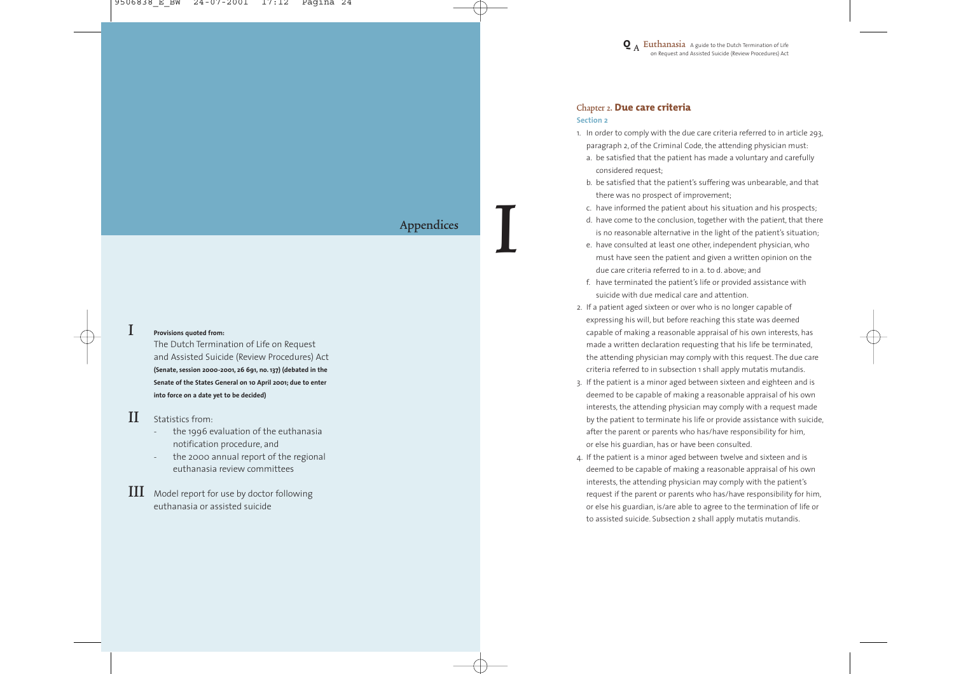### Appendices

I

### **Provisions quoted from:**

I

The Dutch Termination of Life on Request and Assisted Suicide (Review Procedures) Act **(Senate, session 2000-2001, 26 691, no. 137) (debated in the Senate of the States General on 10 April 2001; due to enter into force on a date yet to be decided)**

### Statistics from: II

- the 1996 evaluation of the euthanasia notification procedure, and
- the 2000 annual report of the regional euthanasia review committees
- $\rm III$  Model report for use by doctor following euthanasia or assisted suicide

### Chapter 2. **Due care criteria**

### **Section 2**

- 1. In order to comply with the due care criteria referred to in article 293, paragraph 2, of the Criminal Code, the attending physician must:
- a. be satisfied that the patient has made a voluntary and carefully considered request;
- b. be satisfied that the patient's suffering was unbearable, and that there was no prospect of improvement;
- c. have informed the patient about his situation and his prospects;
- d. have come to the conclusion, together with the patient, that there is no reasonable alternative in the light of the patient's situation;
- e. have consulted at least one other, independent physician, who must have seen the patient and given a written opinion on the due care criteria referred to in a. to d. above; and
- f. have terminated the patient's life or provided assistance with suicide with due medical care and attention.
- 2. If a patient aged sixteen or over who is no longer capable of expressing his will, but before reaching this state was deemed capable of making a reasonable appraisal of his own interests, has made a written declaration requesting that his life be terminated, the attending physician may comply with this request. The due care criteria referred to in subsection 1 shall apply mutatis mutandis.
- 3. If the patient is a minor aged between sixteen and eighteen and is deemed to be capable of making a reasonable appraisal of his own interests, the attending physician may comply with a request made by the patient to terminate his life or provide assistance with suicide, after the parent or parents who has/have responsibility for him, or else his guardian, has or have been consulted.
- 4. If the patient is a minor aged between twelve and sixteen and is deemed to be capable of making a reasonable appraisal of his own interests, the attending physician may comply with the patient's reques<sup>t</sup> if the parent or parents who has/have responsibility for him, or else his guardian, is/are able to agree to the termination of life or to assisted suicide. Subsection 2 shall apply mutatis mutandis.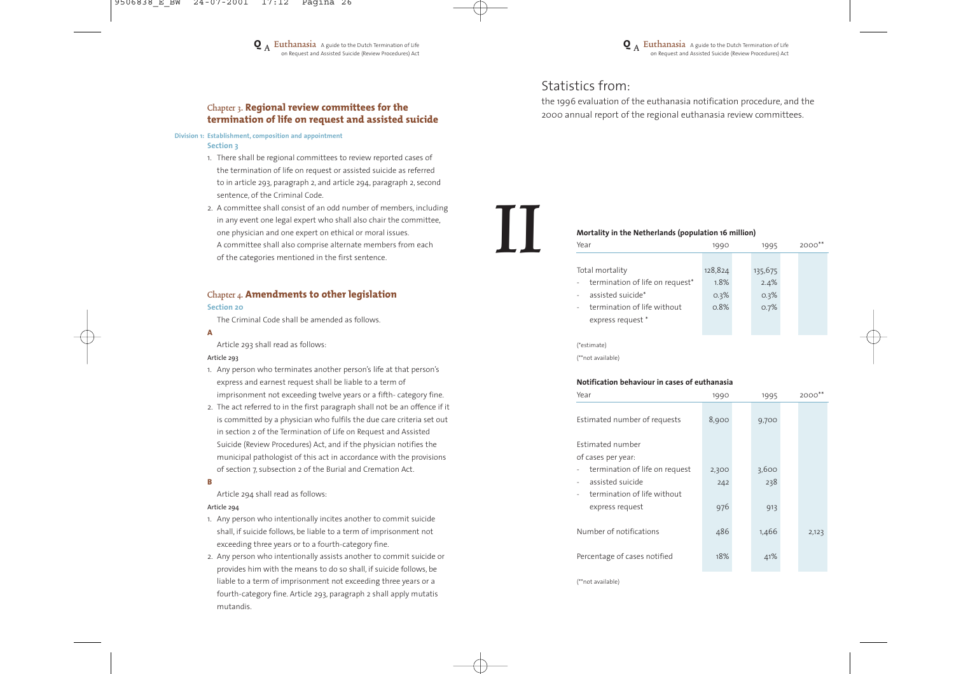

### Statistics from:

the 1996 evaluation of the euthanasia notification procedure, and the 2000 annual report of the regional euthanasia review committees.

### Chapter 3. **Regional review committees for the termination of life on request and assisted suicide**

### **Section 3 Division 1: Establishment, composition and appointment**

- 1. There shall be regional committees to review reported cases of the termination of life on request or assisted suicide as referred to in article 293, paragraph 2, and article 294, paragraph 2, second sentence, of the Criminal Code.
- 2. A committee shall consist of an odd number of members, including in any event one legal expert who shall also chair the committee, one physician and one expert on ethical or moral issues. A committee shall also comprise alternate members from each of the categories mentioned in the first sentence.

### Chapter 4. **Amendments to other legislation**

### **Section 20**

The Criminal Code shall be amended as follows.

### **A**

Article 293 shall read as follows:

### Article 293

- 1. Any person who terminates another person's life at that person's express and earnest reques<sup>t</sup> shall be liable to a term of imprisonment not exceeding twelve years or a fifth- category fine.
- 2. The act referred to in the first paragraph shall not be an offence if it is committed by a physician who fulfils the due care criteria set out in section 2 of the Termination of Life on Request and Assisted Suicide (Review Procedures) Act, and if the physician notifies the municipal pathologist of this act in accordance with the provisions of section 7, subsection 2 of the Burial and Cremation Act.

### **B**

Article 294 shall read as follows:

### Article 294

- 1. Any person who intentionally incites another to commit suicide shall, if suicide follows, be liable to a term of imprisonment not exceeding three years or to a fourth-category fine.
- 2. Any person who intentionally assists another to commit suicide or provides him with the means to do so shall, if suicide follows, be liable to a term of imprisonment not exceeding three years or a fourth-category fine. Article 293, paragraph 2 shall apply mutatis mutandis.

# II

### **Mortality in the Netherlands (population 16 million)**

| Year                                          | 1990    | 1995    | $2000***$ |
|-----------------------------------------------|---------|---------|-----------|
|                                               |         |         |           |
| Total mortality                               | 128,824 | 135,675 |           |
| termination of life on request*<br>$\sim$ $-$ | 1.8%    | 2.4%    |           |
| assisted suicide*                             | 0.3%    | 0.3%    |           |
| termination of life without                   | 0.8%    | 0.7%    |           |
| express request *                             |         |         |           |
|                                               |         |         |           |

(\*estimate)

(\*\*not available)

### **Notification behaviour in cases of euthanasia**

| Year                           | 1990  | 1995  | $2000**$ |
|--------------------------------|-------|-------|----------|
| Estimated number of requests   | 8,900 | 9,700 |          |
| Estimated number               |       |       |          |
| of cases per year:             |       |       |          |
| termination of life on request | 2,300 | 3,600 |          |
| assisted suicide               | 242   | 238   |          |
| termination of life without    |       |       |          |
| express request                | 976   | 913   |          |
| Number of notifications        | 486   | 1,466 | 2,123    |
| Percentage of cases notified   | 18%   | 41%   |          |

(\*\*not available)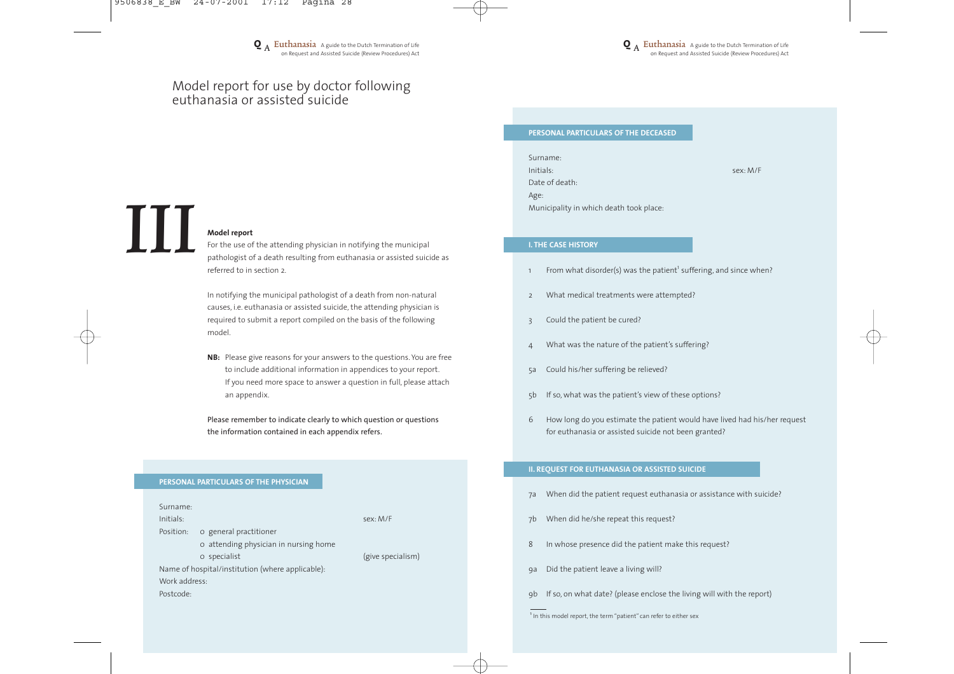

### Model report for use by doctor following euthanasia or assisted suicide

# **III IIII Model report**<br>
For the use of the attending physician in notifying the municipal

pathologist of a death resulting from euthanasia or assisted suicide as referred to in section 2.

In notifying the municipal pathologist of a death from non-natural causes, i.e. euthanasia or assisted suicide, the attending physician is required to submit a repor<sup>t</sup> compiled on the basis of the following model.

**NB:** Please give reasons for your answers to the questions. You are free to include additional information in appendices to your report. If you need more space to answer a question in full, please attach an appendix.

Please remember to indicate clearly to which question or questions the information contained in each appendix refers.

### **PERSONAL PARTICULARS OF THE PHYSICIAN**

| Surname:      |                                                  |                   |
|---------------|--------------------------------------------------|-------------------|
| Initials:     |                                                  | sex: M/F          |
| Position:     | o general practitioner                           |                   |
|               | o attending physician in nursing home            |                   |
|               | o specialist                                     | (give specialism) |
|               | Name of hospital/institution (where applicable): |                   |
| Work address: |                                                  |                   |
| Postcode:     |                                                  |                   |
|               |                                                  |                   |

### **PERSONAL PARTICULARS OF THE DECEASED**

| Surname:                                |          |
|-----------------------------------------|----------|
| Initials:                               | sex: M/F |
| Date of death:                          |          |
| Age:                                    |          |
| Municipality in which death took place: |          |

### **I. THE CASE HISTORY**

- From what disorder(s) was the patient<sup>1</sup> suffering, and since when?
- <sup>2</sup> What medical treatments were attempted?
- 3 Could the patient be cured?
- 4 What was the nature of the patient's suffering?
- 5a Could his/her suffering be relieved?
- 5b If so, what was the patient's view of these options?
- 6 How long do you estimate the patient would have lived had his/her request for euthanasia or assisted suicide not been granted?

### **II. REQUEST FOR EUTHANASIA OR ASSISTED SUICIDE**

- 7a When did the patient request euthanasia or assistance with suicide?
- 7b When did he/she repeat this request?
- 8 In whose presence did the patient make this request?
- 9a Did the patient leave a living will?
- 9b If so, on what date? (please enclose the living will with the report)

<sup>&</sup>lt;sup>1</sup> In this model report, the term "patient" can refer to either sex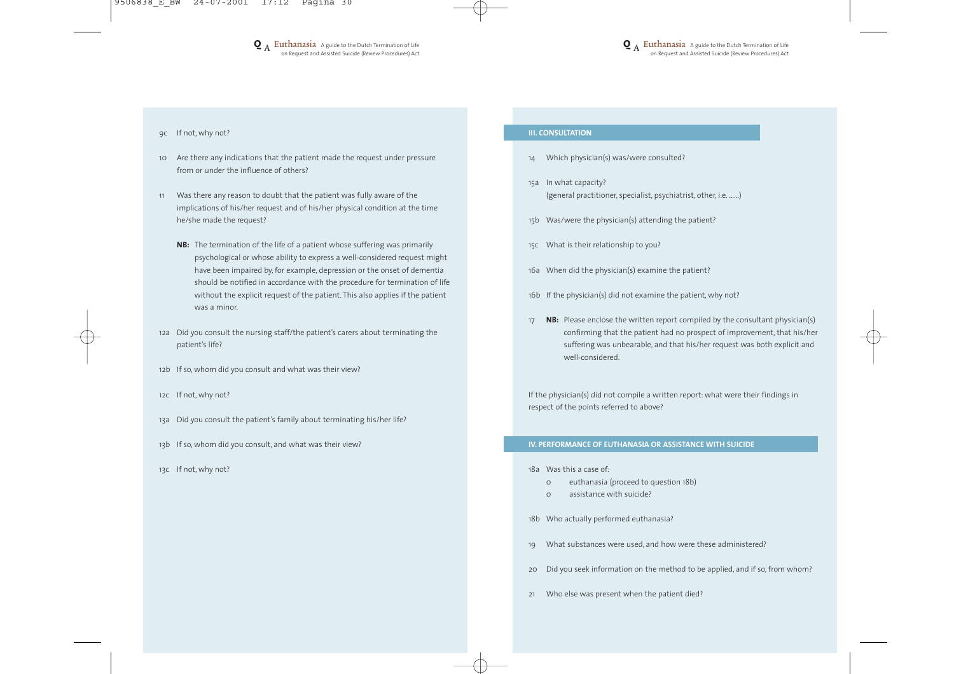

### 9c If not, why not?

- <sup>10</sup> Are there any indications that the patient made the request under pressure from or under the influence of others?
- <sup>11</sup> Was there any reason to doubt that the patient was fully aware of the implications of his/her request and of his/her physical condition at the time he/she made the request?
	- **NB:** The termination of the life of a patient whose suffering was primarily psychological or whose ability to express a well-considered request might have been impaired by, for example, depression or the onset of dementia should be notified in accordance with the procedure for termination of life without the explicit reques<sup>t</sup> of the patient. This also applies if the patient was a minor.
- 12a Did you consult the nursing staff/the patient's carers about terminating the patient's life?
- 12b If so, whom did you consult and what was their view?
- 12c If not, why not?
- 13a Did you consult the patient's family about terminating his/her life?
- 13b If so, whom did you consult, and what was their view?
- 13c If not, why not?

### **III. CONSULTATION**

- <sup>14</sup> Which physician(s) was/were consulted?
- 15a In what capacity? (general practitioner, specialist, psychiatrist, other, i.e. ……)
- 15b Was/were the physician(s) attending the patient?
- 15c What is their relationship to you?
- 16a When did the physician(s) examine the patient?
- 16b If the physician(s) did not examine the patient, why not?
- <sup>17</sup> **NB:** Please enclose the written report compiled by the consultant physician(s) confirming that the patient had no prospect of improvement, that his/her suffering was unbearable, and that his/her request was both explicit and well-considered.

If the physician(s) did not compile a written report: what were their findings in respec<sup>t</sup> of the points referred to above?

### **IV. PERFORMANCE OF EUTHANASIA OR ASSISTANCE WITH SUICIDE**

- 18a Was this a case of:
	- <sup>0</sup> euthanasia (proceed to question 18b)
	- 0 assistance with suicide?
- 18b Who actually performed euthanasia?
- 19 What substances were used, and how were these administered?
- <sup>20</sup> Did you seek information on the method to be applied, and if so, from whom?
- <sup>21</sup> Who else was present when the patient died?